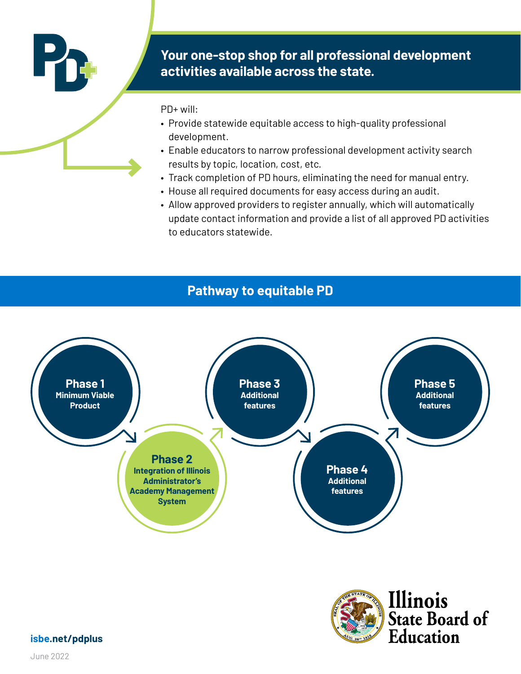

# **Your one-stop shop for all professional development activities available across the state.**

PD+ will:

- Provide statewide equitable access to high-quality professional development.
- Enable educators to narrow professional development activity search results by topic, location, cost, etc.
- Track completion of PD hours, eliminating the need for manual entry.
- House all required documents for easy access during an audit.
- Allow approved providers to register annually, which will automatically update contact information and provide a list of all approved PD activities to educators statewide.

# **Pathway to equitable PD**





**isbe.net/pdplus**

June 2022